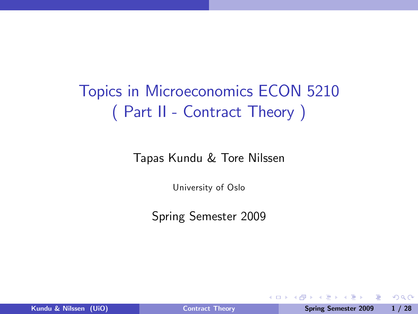# Topics in Microeconomics ECON 5210 ( Part II - Contract Theory )

Tapas Kundu & Tore Nilssen

University of Oslo

Spring Semester 2009

4 0 8

重

<span id="page-0-0"></span> $\Omega$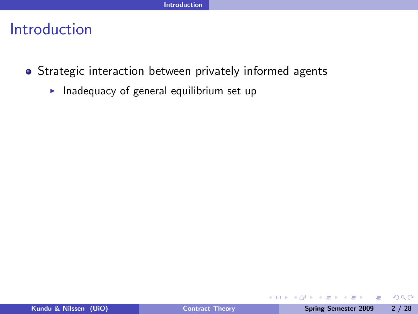- Strategic interaction between privately informed agents
	- Inadequacy of general equilibrium set up

4 0 8

重

× ia ≅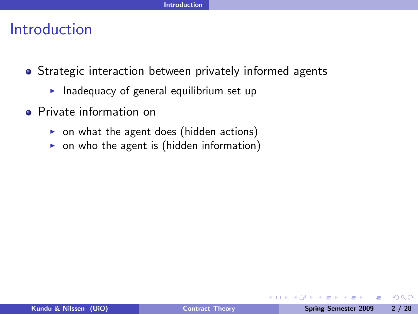- Strategic interaction between privately informed agents
	- $\blacktriangleright$  Inadequacy of general equilibrium set up
- **•** Private information on
	- $\triangleright$  on what the agent does (hidden actions)
	- $\triangleright$  on who the agent is (hidden information)

4日)

 $\Omega$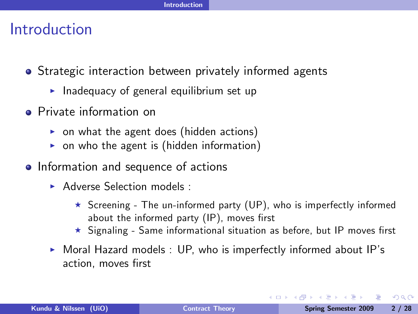- Strategic interaction between privately informed agents
	- $\blacktriangleright$  Inadequacy of general equilibrium set up
- **•** Private information on
	- $\triangleright$  on what the agent does (hidden actions)
	- $\triangleright$  on who the agent is (hidden information)
- Information and sequence of actions
	- $\triangleright$  Adverse Selection models :
		- $\star$  Screening The un-informed party (UP), who is imperfectly informed about the informed party  $(IP)$ , moves first
		- $\star$  Signaling Same informational situation as before, but IP moves first
	- $\triangleright$  Moral Hazard models : UP, who is imperfectly informed about IP's action, moves first

**Single Street** 

ാം

 $4.33 \times 1.33 \times$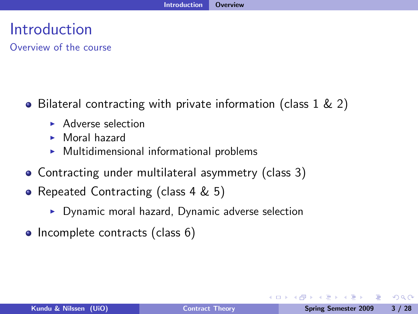Overview of the course

- Bilateral contracting with private information (class  $1 \& 2$ )
	- **Adverse selection**
	- $M$ oral hazard
	- $\blacktriangleright$  Multidimensional informational problems
- Contracting under multilateral asymmetry (class 3)
- Repeated Contracting (class 4 & 5)
	- $\triangleright$  Dynamic moral hazard, Dynamic adverse selection
- Incomplete contracts (class 6)

 $4.17 \times$ 

 $\Omega$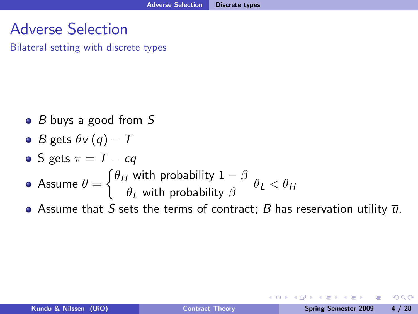## Adverse Selection

Bilateral setting with discrete types

- $\bullet$  B buys a good from S
- *B* gets  $\theta v (q) T$

\n- S gets 
$$
\pi = T - cq
$$
\n- Assume  $\theta = \begin{cases} \theta_H & \text{with probability } 1 - \beta \\ \theta_L & \text{with probability } \beta \end{cases}$
\n

• Assume that S sets the terms of contract; B has reservation utility  $\overline{u}$ .

4 0 8

 $\Omega$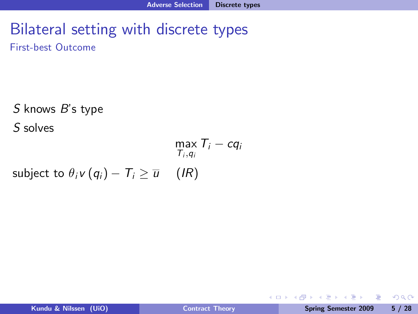First-best Outcome

S knows B's type S solves  $\max_{\mathcal{T}_i, q_i} \mathcal{T}_i - c q_i$ subject to  $\theta_i v (q_i) - T_i \ge \overline{u}$  (IR)

- B

 $QQ$ 

医氯化亚氯

**← ロ ▶ → イ 冊**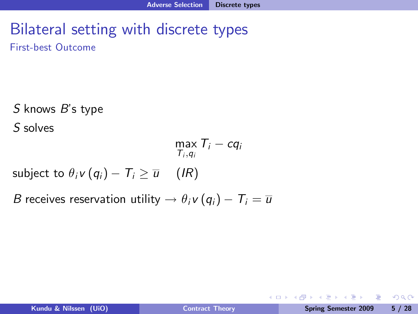First-best Outcome

S knows B's type

S solves

$$
\max_{T_i, q_i} T_i - cq_i
$$
\nsubject to  $\theta_i v(q_i) - T_i \ge \overline{u}$  (IR)

B receives reservation utility  $\rightarrow \theta_i v (q_i) - T_i = \overline{u}$ 

- 3

**← ロ ▶ → イ 冊** 

 $OQ$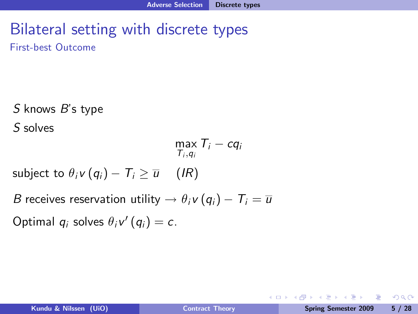First-best Outcome

S knows B's type

S solves

$$
\max_{T_i,q_i} T_i - cq_i
$$

subject to  $\theta_i v (q_i) - T_i > \overline{u}$  (IR)

B receives reservation utility  $\rightarrow \theta_i v (q_i) - T_i = \overline{u}$ 

Optimal  $q_i$  solves  $\theta_i v'(q_i) = c$ .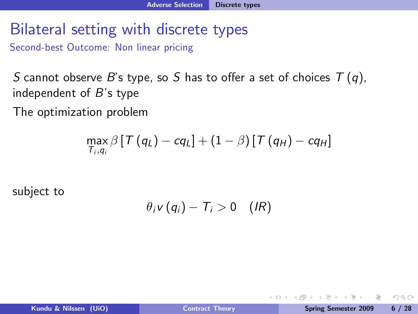Second-best Outcome: Non linear pricing

S cannot observe B's type, so S has to offer a set of choices  $T(q)$ , independent of  $B$ 's type

The optimization problem

$$
\max_{T_i,q_i}\beta\left[T\left(q_L\right)-cq_L\right]+\left(1-\beta\right)\left[T\left(q_H\right)-cq_H\right]
$$

subject to

$$
\theta_i v(q_i) - T_i > 0 \quad (IR)
$$

4 0 8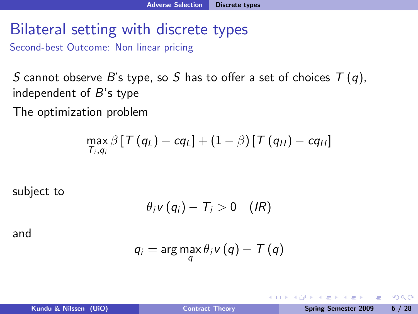Second-best Outcome: Non linear pricing

S cannot observe B's type, so S has to offer a set of choices  $T(q)$ , independent of  $B$ 's type

The optimization problem

$$
\max_{T_i,q_i}\beta\left[T\left(q_L\right)-cq_L\right]+\left(1-\beta\right)\left[T\left(q_H\right)-cq_H\right]
$$

subject to

$$
\theta_i v(q_i) - T_i > 0 \quad (IR)
$$

and

$$
q_i = \arg\max_{q} \theta_i v(q) - T(q)
$$

4 0 8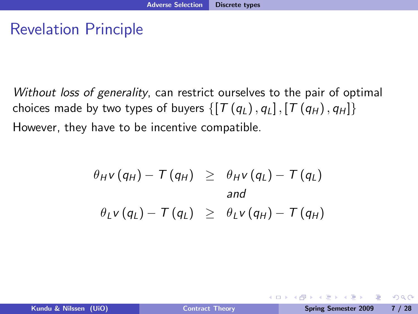## Revelation Principle

Without loss of generality, can restrict ourselves to the pair of optimal choices made by two types of buyers  $\{[T(q_L), q_L], [T(q_H), q_H]\}$ However, they have to be incentive compatible.

$$
\theta_{H}v(q_{H}) - T(q_{H}) \geq \theta_{H}v(q_{L}) - T(q_{L})
$$
  
\nand  
\n
$$
\theta_{L}v(q_{L}) - T(q_{L}) \geq \theta_{L}v(q_{H}) - T(q_{H})
$$

4 0 8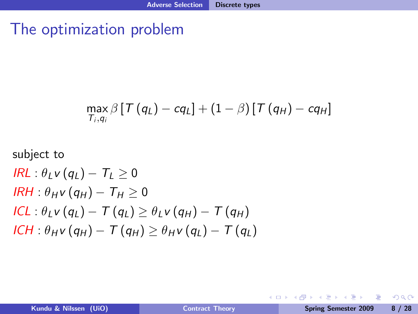### The optimization problem

$$
\max_{T_i,q_i}\beta\left[\mathcal{T}\left(q_L\right)-cq_L\right]+\left(1-\beta\right)\left[\mathcal{T}\left(q_H\right)-cq_H\right]
$$

subject to  
\n
$$
IRL: \theta_L v(q_L) - T_L \ge 0
$$
\n
$$
IRH: \theta_H v(q_H) - T_H \ge 0
$$
\n
$$
ICL: \theta_L v(q_L) - T(q_L) \ge \theta_L v(q_H) - T(q_H)
$$
\n
$$
ICH: \theta_H v(q_H) - T(q_H) \ge \theta_H v(q_L) - T(q_L)
$$

 $\equiv$ 

 $299$ 

 $\mathcal{A} \ \overline{\mathcal{B}} \ \rightarrow \ \ \mathcal{A} \ \overline{\mathcal{B}} \ \rightarrow$ 

**◆ロト ◆伊ト**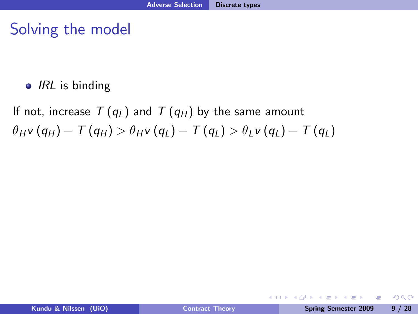$\bullet$  IRL is binding

If not, increase  $T(q_L)$  and  $T(q_H)$  by the same amount  $\theta_{H} v (q_{H}) - T (q_{H}) > \theta_{H} v (q_{L}) - T (q_{L}) > \theta_{L} v (q_{L}) - T (q_{L})$ 

**← ロ ▶ → イ 冊** 

 $ORO$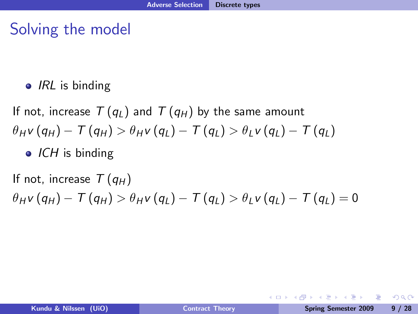$\bullet$  IRL is binding

If not, increase  $T(q_L)$  and  $T(q_H)$  by the same amount  $\theta_{H} v (q_{H}) - T (q_{H}) > \theta_{H} v (q_{L}) - T (q_{L}) > \theta_{L} v (q_{L}) - T (q_{L})$  $\bullet$  ICH is binding

If not, increase  $T(q_H)$  $\theta_{H} v (q_{H}) - T (q_{H}) > \theta_{H} v (q_{L}) - T (q_{L}) > \theta_{L} v (q_{L}) - T (q_{L}) = 0$ 

**←ロ ▶ ← ← 冊 ▶**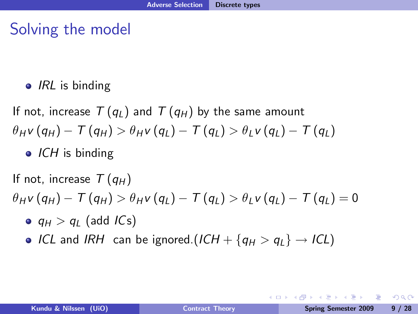$\bullet$  IRL is binding

If not, increase  $T(q_L)$  and  $T(q_H)$  by the same amount  $\theta_{H} v (q_{H}) - T (q_{H}) > \theta_{H} v (q_{L}) - T (q_{L}) > \theta_{L} v (q_{L}) - T (q_{L})$  $\bullet$  ICH is binding

If not, increase  $T(q_H)$  $\theta_{H} v (q_{H}) - T (q_{H}) > \theta_{H} v (q_{L}) - T (q_{L}) > \theta_{L} v (q_{L}) - T (q_{L}) = 0$ 

- $q_H > q_I$  (add ICs)
- ICL and IRH can be ignored.(ICH +  $\{q_H > q_L\} \rightarrow ICL$ )

KED KAD KED KED E LAGA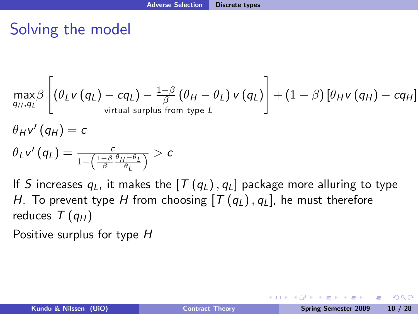$$
\max_{q_H, q_L} \beta \left[ \left( \theta_L v \left( q_L \right) - c q_L \right) - \frac{1-\beta}{\beta} \left( \theta_H - \theta_L \right) v \left( q_L \right) \right] + \left( 1 - \beta \right) \left[ \theta_H v \left( q_H \right) - c q_H \right]
$$
\n
$$
\theta_H v' \left( q_H \right) = c
$$

$$
\theta_L v'(q_L) = \tfrac{c}{1-\left(\frac{1-\beta}{\beta}\frac{\theta_H-\theta_L}{\theta_L}\right)} > c
$$

If S increases  $q_L$ , it makes the  $[T(q_L), q_L]$  package more alluring to type H. To prevent type H from choosing  $[T(q_L), q_L]$ , he must therefore reduces  $T(q_H)$ 

Positive surplus for type H

 $200$ 

→ (重)→ → 重)→ 一重

**← ロ ▶ → イ 冊**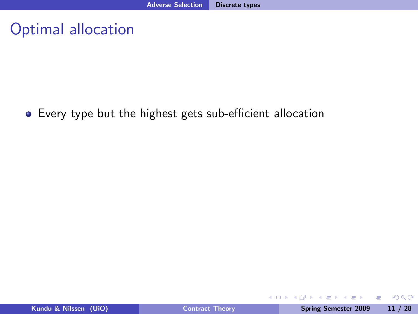#### Optimal allocation

#### • Every type but the highest gets sub-efficient allocation

重

 $2990$ 

 $\mathbf{A} \equiv \mathbf{A} \quad \mathbf{A} \equiv \mathbf{A}$ 

**← ロ ▶ → イ 冊**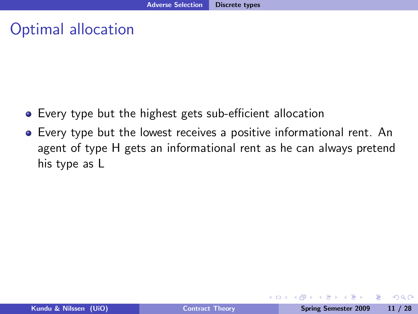#### Optimal allocation

- Every type but the highest gets sub-efficient allocation
- Every type but the lowest receives a positive informational rent. An agent of type H gets an informational rent as he can always pretend his type as L

4 0 8

 $\Omega$ 

ミドマミド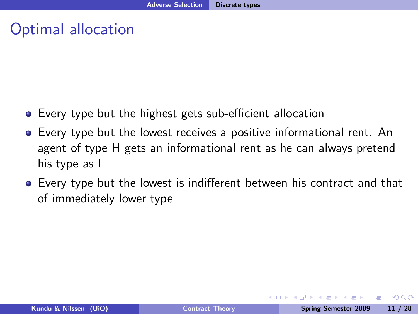#### Optimal allocation

- Every type but the highest gets sub-efficient allocation
- Every type but the lowest receives a positive informational rent. An agent of type H gets an informational rent as he can always pretend his type as L
- Every type but the lowest is indifferent between his contract and that of immediately lower type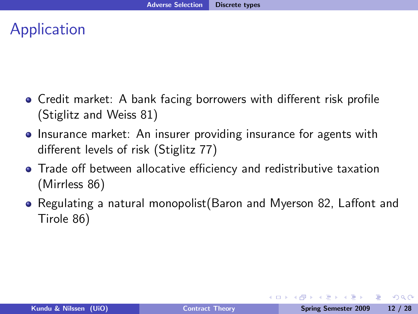## Application

- $\bullet$  Credit market: A bank facing borrowers with different risk profile (Stiglitz and Weiss 81)
- **•** Insurance market: An insurer providing insurance for agents with different levels of risk (Stiglitz 77)
- Trade off between allocative efficiency and redistributive taxation (Mirrless 86)
- $\bullet$  Regulating a natural monopolist(Baron and Myerson 82, Laffont and Tirole 86)

 $\Omega$ 

**A BAK A BA** 

**◆ ロ ▶ → 何**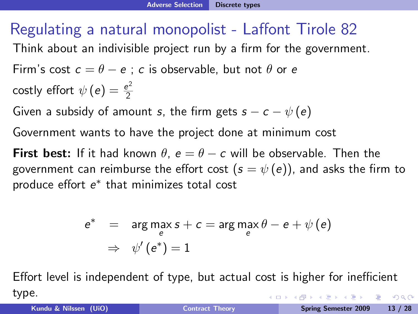#### Regulating a natural monopolist - Laffont Tirole 82

Think about an indivisible project run by a firm for the government.

Firm's cost 
$$
c = \theta - e
$$
; c is observable, but not  $\theta$  or e  
costly effort  $\psi(e) = \frac{e^2}{2}$ 

Given a subsidy of amount s, the firm gets  $s - c - \psi(e)$ 

Government wants to have the project done at minimum cost

**First best:** If it had known  $\theta$ ,  $e = \theta - c$  will be observable. Then the government can reimburse the effort cost  $(s = \psi(e))$ , and asks the firm to produce effort  $e^*$  that minimizes total cost

$$
e^* = \arg\max_e s + c = \arg\max_e \theta - e + \psi(e)
$$
  
\n
$$
\Rightarrow \psi'(e^*) = 1
$$

Effort level is independent of type, but actual cost is higher for inefficient type. イロン イ母ン イヨン イヨン  $\eta$ an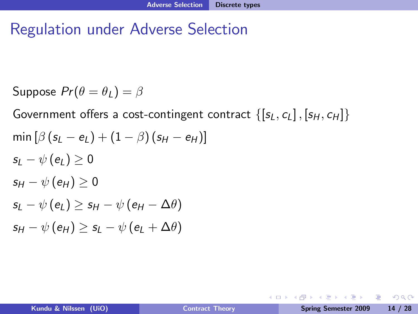#### Regulation under Adverse Selection

Suppose  $Pr(\theta = \theta_I) = \beta$ 

Government offers a cost-contingent contract  $\{[s_L, c_L], [s_H, c_H]\}$ min  $[\beta(s_1 - e_L) + (1 - \beta)(s_H - e_H)]$  $s_I - \psi(e_I) \geq 0$  $s_H - \psi(e_H) > 0$  $s_l - \psi(e_l) > s_H - \psi(e_H - \Delta \theta)$  $s_H - \psi(e_H) > s_I - \psi(e_I + \Delta\theta)$ 

**← ロ ▶ → イ 冊** 

 $E \rightarrow 4E + 1E$   $QQ$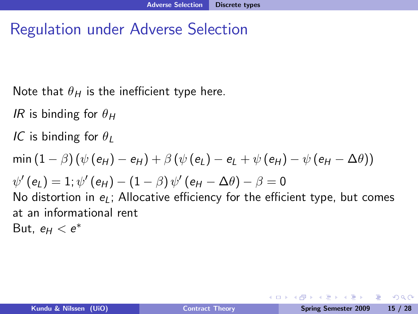#### Regulation under Adverse Selection

Note that  $\theta_H$  is the inefficient type here.

IR is binding for  $\theta_H$ 

IC is binding for  $\theta_I$ 

 $\min (1 - \beta) (\psi(e_H) - e_H) + \beta (\psi(e_I) - e_I + \psi(e_H) - \psi(e_H - \Delta \theta))$  $\psi'\left(\pmb{e}_{L}\right)=1;\psi'\left(\pmb{e}_{H}\right)-\left(1-\beta\right)\psi'\left(\pmb{e}_{H}-\Delta\theta\right)-\beta=0$ 

No distortion in  $e_l$ ; Allocative efficiency for the efficient type, but comes at an informational rent

But,  $e_H < e^*$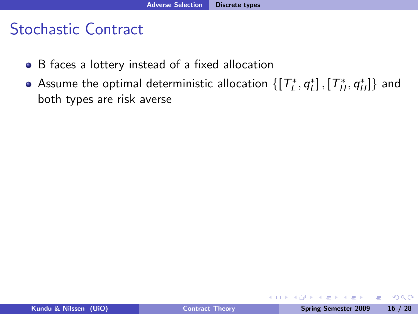- B faces a lottery instead of a fixed allocation
- Assume the optimal deterministic allocation  $\{[\,T^{\ast}_{L},q^{\ast}_{L}]\,, [\,T^{\ast}_{H},q^{\ast}_{H}]\}$  and both types are risk averse

4 0 8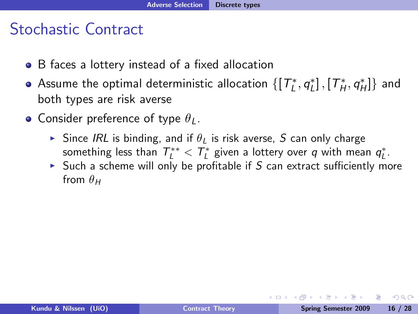- B faces a lottery instead of a fixed allocation
- Assume the optimal deterministic allocation  $\{[\,T^{\ast}_{L},q^{\ast}_{L}]\,, [\,T^{\ast}_{H},q^{\ast}_{H}]\}$  and both types are risk averse
- Consider preference of type  $\theta_L$ .
	- Since IRL is binding, and if  $\theta_I$  is risk averse, S can only charge something less than  $\mathcal{T}^{**}_L < \mathcal{T}^*_L$  given a lottery over  $q$  with mean  $q^*_L.$
	- In Such a scheme will only be profitable if S can extract sufficiently more from  $\theta_H$

 $\Omega$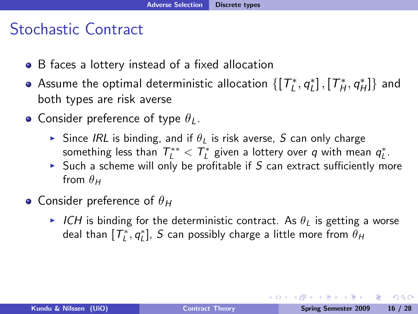- B faces a lottery instead of a fixed allocation
- Assume the optimal deterministic allocation  $\{[\,T^{\ast}_{L},q^{\ast}_{L}]\,, [\,T^{\ast}_{H},q^{\ast}_{H}]\}$  and both types are risk averse
- Consider preference of type  $\theta_L$ .
	- Since IRL is binding, and if  $\theta_I$  is risk averse, S can only charge something less than  $\mathcal{T}^{**}_L < \mathcal{T}^*_L$  given a lottery over  $q$  with mean  $q^*_L.$
	- In Such a scheme will only be profitable if S can extract sufficiently more from  $\theta_H$
- Consider preference of  $\theta_H$ 
	- ICH is binding for the deterministic contract. As  $\theta_L$  is getting a worse deal than  $[T^*_L, q^*_L]$ ,  $S$  can possibly charge a little more from  $\theta_H$

 $\Omega$ 

イロト イ押 トイヨ トイヨ トーヨ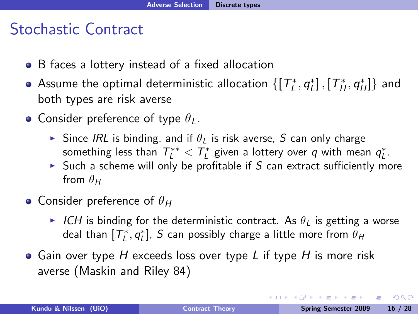- B faces a lottery instead of a fixed allocation
- Assume the optimal deterministic allocation  $\{[\,T^{\ast}_{L},q^{\ast}_{L}]\,, [\,T^{\ast}_{H},q^{\ast}_{H}]\}$  and both types are risk averse
- Consider preference of type  $\theta_L$ .
	- Since IRL is binding, and if  $\theta_I$  is risk averse, S can only charge something less than  $\mathcal{T}^{**}_L < \mathcal{T}^*_L$  given a lottery over  $q$  with mean  $q^*_L.$
	- In Such a scheme will only be profitable if S can extract sufficiently more from  $\theta_H$
- Consider preference of  $\theta_H$ 
	- ICH is binding for the deterministic contract. As  $\theta_L$  is getting a worse deal than  $[T^*_L, q^*_L]$ ,  $S$  can possibly charge a little more from  $\theta_H$
- $\bullet$  Gain over type H exceeds loss over type L if type H is more risk averse (Maskin and Riley 84)

 $\Omega$ 

イロト イ押 トイヨ トイヨ トーヨ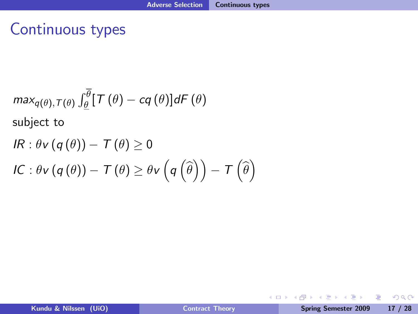#### Continuous types

$$
max_{q(\theta), T(\theta)} \int_{\theta}^{\overline{\theta}} [T(\theta) - cq(\theta)] dF(\theta)
$$
  
subject to  

$$
IR: \theta v (q(\theta)) - T(\theta) \ge 0
$$
  

$$
IC: \theta v (q(\theta)) - T(\theta) \ge \theta v (q(\hat{\theta})) - T(\hat{\theta})
$$

G.

 $QQ$ 

イロン イ母ン イヨン イヨン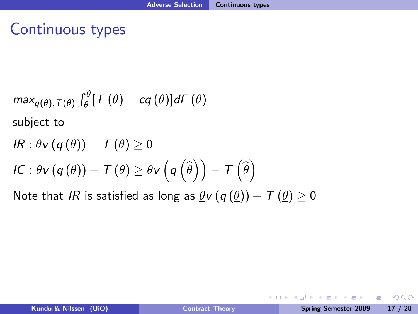### Continuous types

$$
max_{q(\theta), T(\theta)} \int_{\theta}^{\overline{\theta}} [T(\theta) - cq(\theta)] dF(\theta)
$$
  
subject to  

$$
IR: \theta v (q(\theta)) - T(\theta) \ge 0
$$
  

$$
IC: \theta v (q(\theta)) - T(\theta) \ge \theta v (q(\hat{\theta})) - T(\hat{\theta})
$$

Note that IR is satisfied as long as  $\theta$ v (q  $(\theta)$ ) – T ( $\theta$ )  $\geq$  0

重

ミドマミド

**← ロ ▶ → イ 冊**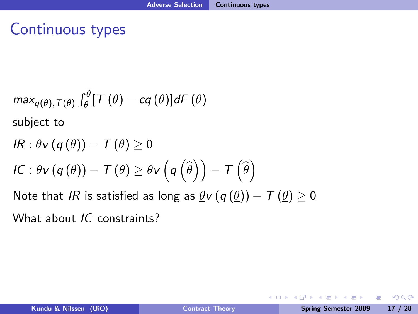## Continuous types

$$
max_{q(\theta), T(\theta)} \int_{\underline{\theta}}^{\overline{\theta}} [T(\theta) - cq(\theta)] dF(\theta)
$$
  
subject to  

$$
IR: \theta v (q(\theta)) - T(\theta) \ge 0
$$
  

$$
IC: \theta v (q(\theta)) - T(\theta) \ge \theta v (q(\hat{\theta})) - T(\hat{\theta})
$$
  
Note that  $IR$  is satisfied as long as  $\underline{\theta} v (q(\underline{\theta})) - T(\underline{\theta}) \ge 0$ 

What about IC constraints?

Þ

 $2990$ 

 $\mathcal{A} \xrightarrow{\sim} \mathcal{B} \rightarrow \mathcal{A} \xrightarrow{\sim} \mathcal{B}$ 

**← ロ ▶ → イ 冊** 

×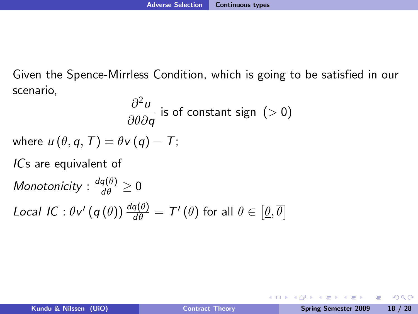Given the Spence-Mirrless Condition, which is going to be satisfied in our scenario,

$$
\frac{\partial^2 u}{\partial \theta \partial q}
$$
 is of constant sign (>0)

where  $u(\theta, q, T) = \theta v(q) - T$ ;

ICs are equivalent of

Monotonicity :  $\frac{dq(\theta)}{d\theta} \geq 0$ Local IC :  $\theta v' (q(\theta)) \frac{dq(\theta)}{d\theta} = T'(\theta)$  for all  $\theta \in [\underline{\theta}, \overline{\theta}]$ 

 $200$ 

4 0 8 4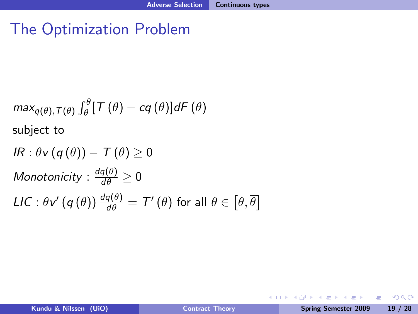## The Optimization Problem

$$
max_{q(\theta), T(\theta)} \int_{\theta}^{\overline{\theta}} [T(\theta) - cq(\theta)] dF(\theta)
$$
\nsubject to\n
$$
IR: \underline{\theta} \mathbf{v} (q(\underline{\theta})) - T(\underline{\theta}) \ge 0
$$
\nMonotonicity:  $\frac{dq(\theta)}{d\theta} \ge 0$ \n
$$
LIC: \theta \mathbf{v}' (q(\theta)) \frac{dq(\theta)}{d\theta} = T'(\theta) \text{ for all } \theta \in [\underline{\theta}, \overline{\theta}]
$$

Þ

 $299$ 

イロト イ伊 トイヨ トイヨト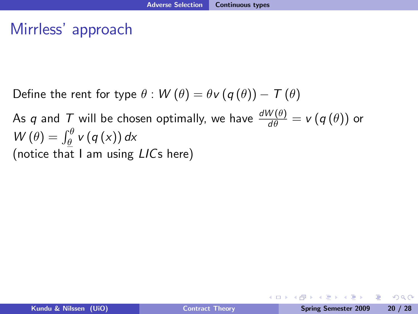#### Mirrless' approach

Define the rent for type  $\theta$ :  $W(\theta) = \theta v (q(\theta)) - T(\theta)$ 

As  $q$  and  $\overline{T}$  will be chosen optimally, we have  $\frac{dW(\theta)}{d\theta} = v(q(\theta))$  or  $W(\theta) = \int_{\theta}^{\theta} v(q(x)) dx$ (notice that I am using LICs here)

 $200$ 

 $\mathbf{A} = \mathbf{A} \oplus \mathbf{A} \oplus \mathbf{A} \oplus \mathbf{A} \oplus \mathbf{A} \oplus \mathbf{A}$ 

**◆ ロ ▶ → 何**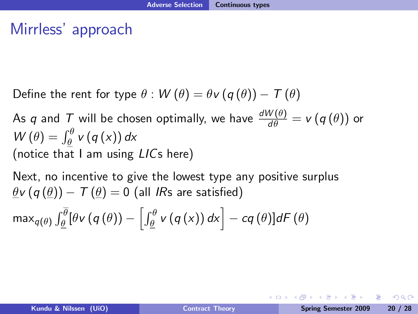## Mirrless' approach

Define the rent for type  $\theta$ :  $W(\theta) = \theta v (q(\theta)) - T(\theta)$ 

As  $q$  and  $\overline{T}$  will be chosen optimally, we have  $\frac{dW(\theta)}{d\theta} = v(q(\theta))$  or  $W(\theta) = \int_{\theta}^{\theta} v(q(x)) dx$ (notice that I am using LICs here)

Next, no incentive to give the lowest type any positive surplus  $\theta$ v (q  $(\theta)$ ) – T ( $\theta$ ) = 0 (all IRs are satisfied)

$$
\max_{q(\theta)} \int_{\underline{\theta}}^{\overline{\theta}} [\theta v (q(\theta)) - \left[ \int_{\underline{\theta}}^{\theta} v (q(x)) dx \right] - cq(\theta)] dF(\theta)
$$

KED KAP KED KED E LOQO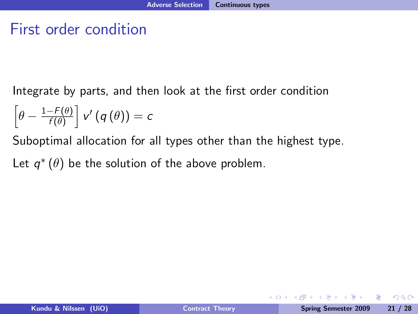#### First order condition

Integrate by parts, and then look at the first order condition

$$
\left[\theta-\tfrac{1-F(\theta)}{f(\theta)}\right]v'\left(q\left(\theta\right)\right)=c
$$

Suboptimal allocation for all types other than the highest type.

Let  $q^*\left(\theta\right)$  be the solution of the above problem.

重

 $\Omega$ 

4 0 8 4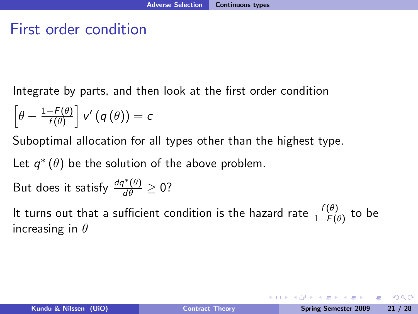#### First order condition

Integrate by parts, and then look at the first order condition

$$
\left[\theta-\tfrac{1-F(\theta)}{f(\theta)}\right]v'\left(q\left(\theta\right)\right)=c
$$

Suboptimal allocation for all types other than the highest type.

Let  $q^*\left(\theta\right)$  be the solution of the above problem.

But does it satisfy 
$$
\frac{dq^*(\theta)}{d\theta} \ge 0
$$
?

It turns out that a sufficient condition is the hazard rate  $\frac{f(\theta)}{1-F(\theta)}$  to be increasing in  $\theta$ 

ാം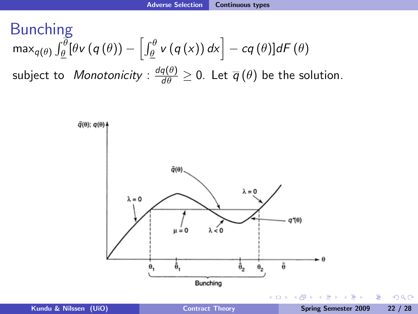Bunching

\n
$$
\max_{q(\theta)} \int_{\theta}^{\theta} [\theta v(q(\theta)) - \left[ \int_{\theta}^{\theta} v(q(x)) \, dx \right] - cq(\theta)] dF(\theta)
$$
\nsubject to *Monotonicity*:

\n
$$
\frac{dq(\theta)}{d\theta} \geq 0. \text{ Let } \overline{q}(\theta) \text{ be the solution.}
$$

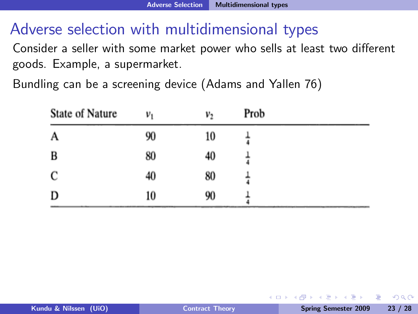## Adverse selection with multidimensional types

Consider a seller with some market power who sells at least two different goods. Example, a supermarket.

Bundling can be a screening device (Adams and Yallen 76)

| State of Nature | $v_1$ | v <sub>2</sub> | Prob |  |
|-----------------|-------|----------------|------|--|
| A               | 90    | 10             |      |  |
| B               | 80    | 40             |      |  |
| C               | 40    | 80             |      |  |
| D               | 10    | 90             |      |  |

4 0 8 1

 $200$ 

**A BA 4 BA**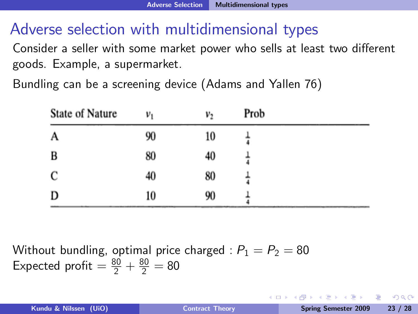## Adverse selection with multidimensional types

Consider a seller with some market power who sells at least two different goods. Example, a supermarket.

Bundling can be a screening device (Adams and Yallen 76)

| State of Nature | $v_1$ | v <sub>2</sub> | Prob |  |
|-----------------|-------|----------------|------|--|
| A               | 90    | 10             |      |  |
| B               | 80    | 40             |      |  |
| C               | 40    | 80             |      |  |
| D               | 10    | 90             |      |  |

Without bundling, optimal price charged :  $P_1 = P_2 = 80$ Expected profit  $= \frac{80}{2} + \frac{80}{2} = 80$ 

 $\Omega$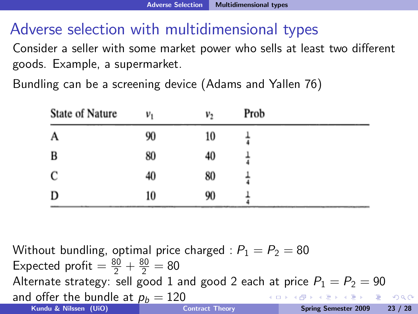## Adverse selection with multidimensional types

Consider a seller with some market power who sells at least two different goods. Example, a supermarket.

Bundling can be a screening device (Adams and Yallen 76)

| State of Nature | $v_1$ | v <sub>2</sub> | Prob |  |
|-----------------|-------|----------------|------|--|
| A               | 90    | 10             |      |  |
| B               | 80    | 40             |      |  |
| C               | 40    | 80             |      |  |
| D               | 10    | 90             |      |  |

Without bundling, optimal price charged :  $P_1 = P_2 = 80$ Expected profit  $= \frac{80}{2} + \frac{80}{2} = 80$ Alternate strategy: sell good 1 and good 2 each at price  $P_1 = P_2 = 90$ and offer the bundle at  $p_b = 120$ <br>Kundu & Nilssen (UiO) KED KAP KED KED E LOQO Kundu & Nilssen (UiO) <sup>4</sup> = 105 Kundu & Nilssen (UiO) [Contract Theory](#page-0-0) Spring Semester 2009 23 / 28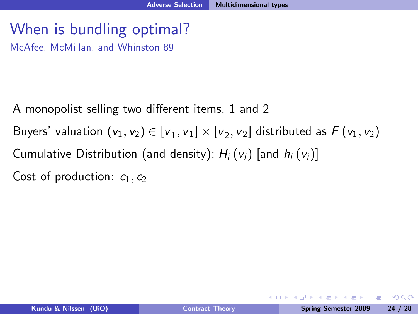## When is bundling optimal?

McAfee, McMillan, and Whinston 89

- A monopolist selling two different items, 1 and 2
- Buyers' valuation  $(v_1, v_2) \in [\underline{v}_1, \overline{v}_1] \times [\underline{v}_2, \overline{v}_2]$  distributed as  $F(v_1, v_2)$
- Cumulative Distribution (and density):  $H_i\left(v_i\right)$  [and  $h_i\left(v_i\right)$ ]
- Cost of production:  $c_1, c_2$

- 3

 $\Omega$ 

Brazilia Brazil

**← ロ ▶ → イ 冊**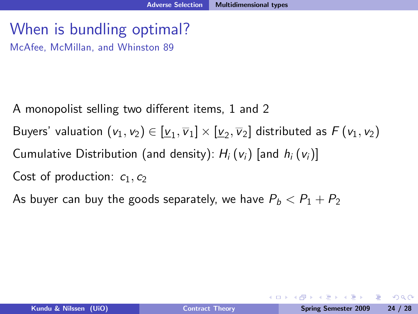## When is bundling optimal?

McAfee, McMillan, and Whinston 89

- A monopolist selling two different items, 1 and 2
- Buyers' valuation  $(v_1, v_2) \in [\underline{v}_1, \overline{v}_1] \times [\underline{v}_2, \overline{v}_2]$  distributed as  $F(v_1, v_2)$
- Cumulative Distribution (and density):  $H_i (v_i)$  [and  $h_i (v_i)$ ]
- Cost of production:  $c_1, c_2$
- As buyer can buy the goods separately, we have  $P_b < P_1 + P_2$

**←ロ ▶ ← ← 冊 ▶**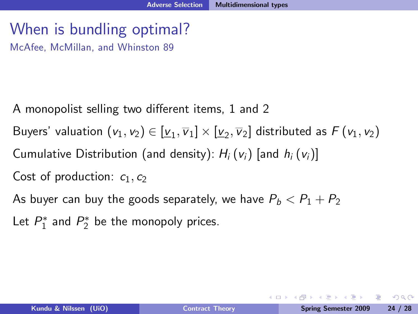## When is bundling optimal?

McAfee, McMillan, and Whinston 89

- A monopolist selling two different items, 1 and 2
- Buyers' valuation  $(v_1, v_2) \in [\underline{v}_1, \overline{v}_1] \times [\underline{v}_2, \overline{v}_2]$  distributed as  $F(v_1, v_2)$
- Cumulative Distribution (and density):  $H_i\left(v_i\right)$  [and  $h_i\left(v_i\right)$ ]
- Cost of production:  $c_1, c_2$
- As buyer can buy the goods separately, we have  $P_b < P_1 + P_2$
- Let  $P_1^*$  and  $P_2^*$  be the monopoly prices.

KED KAP KED KED E LOQO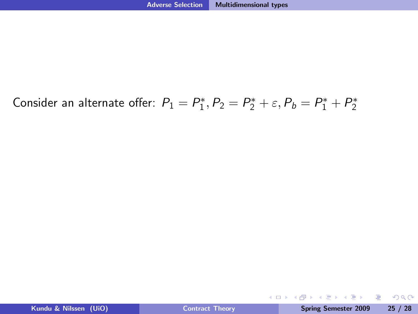## Consider an alternate offer:  $P_1 = P_1^*, P_2 = P_2^* + \varepsilon, P_b = P_1^* + P_2^*$

K ロ ▶ K 個 ▶ K 글 ▶ K 글 ▶ │ 글 │ K 9 Q Q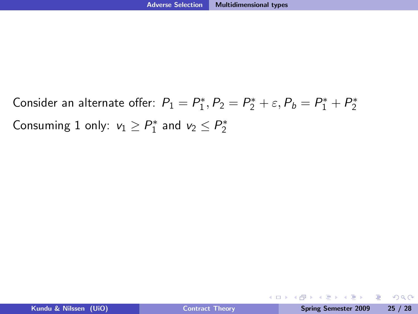Consider an alternate offer:  $P_1 = P_1^*, P_2 = P_2^* + \varepsilon, P_b = P_1^* + P_2^*$ Consuming 1 only:  $v_1 \ge P_1^*$  and  $v_2 \le P_2^*$ 

KED KAP KIED KIED IE VOQO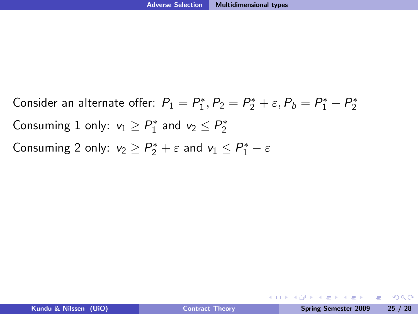Consider an alternate offer:  $P_1 = P_1^*, P_2 = P_2^* + \varepsilon, P_b = P_1^* + P_2^*$ Consuming 1 only:  $v_1 \ge P_1^*$  and  $v_2 \le P_2^*$ Consuming 2 only:  $v_2 \ge P_2^* + \varepsilon$  and  $v_1 \le P_1^* - \varepsilon$ 

KED KAP KIED KIED IE VOQO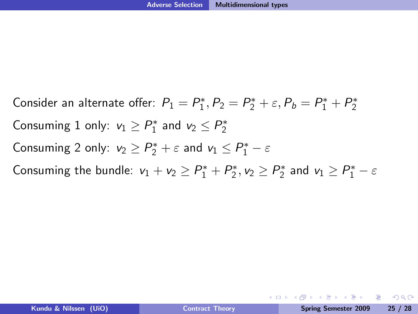Consider an alternate offer:  $P_1 = P_1^*, P_2 = P_2^* + \varepsilon, P_b = P_1^* + P_2^*$ Consuming 1 only:  $v_1 \ge P_1^*$  and  $v_2 \le P_2^*$ Consuming 2 only:  $v_2 \ge P_2^* + \varepsilon$  and  $v_1 \le P_1^* - \varepsilon$ Consuming the bundle:  $v_1 + v_2 \ge P_1^* + P_2^*, v_2 \ge P_2^*$  and  $v_1 \ge P_1^* - \varepsilon$ 

KED KAP KIED KIED IE VOQO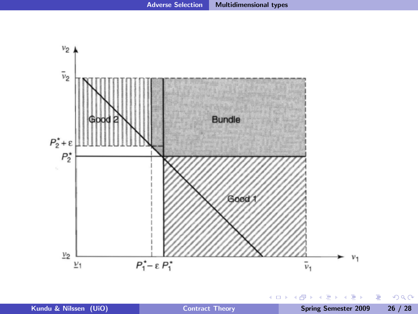

**← ロ → ← イ 円** 

× × ∍  $\mathbf{p}$   $299$ 

目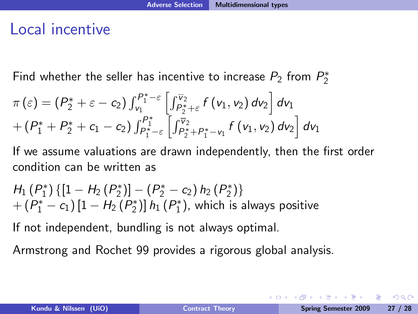#### Local incentive

Find whether the seller has incentive to increase  $P_2$  from  $P_2^\ast$ 

$$
\pi(\varepsilon) = (P_2^* + \varepsilon - c_2) \int_{v_1}^{P_1^* - \varepsilon} \left[ \int_{P_2^* + \varepsilon}^{\overline{v}_2} f(v_1, v_2) dv_2 \right] dv_1 + (P_1^* + P_2^* + c_1 - c_2) \int_{P_1^* - \varepsilon}^{P_1^*} \left[ \int_{P_2^* + P_1^* - v_1}^{\overline{v}_2} f(v_1, v_2) dv_2 \right] dv_1
$$

If we assume valuations are drawn independently, then the first order condition can be written as

$$
H_1(P_1^*) \{ [1 - H_2(P_2^*)] - (P_2^* - c_2) h_2(P_2^*) \} + (P_1^* - c_1) [1 - H_2(P_2^*)] h_1(P_1^*), which is always positive
$$

If not independent, bundling is not always optimal.

Armstrong and Rochet 99 provides a rigorous global analysis.

 $\Omega$ 

**A BAY A BA**